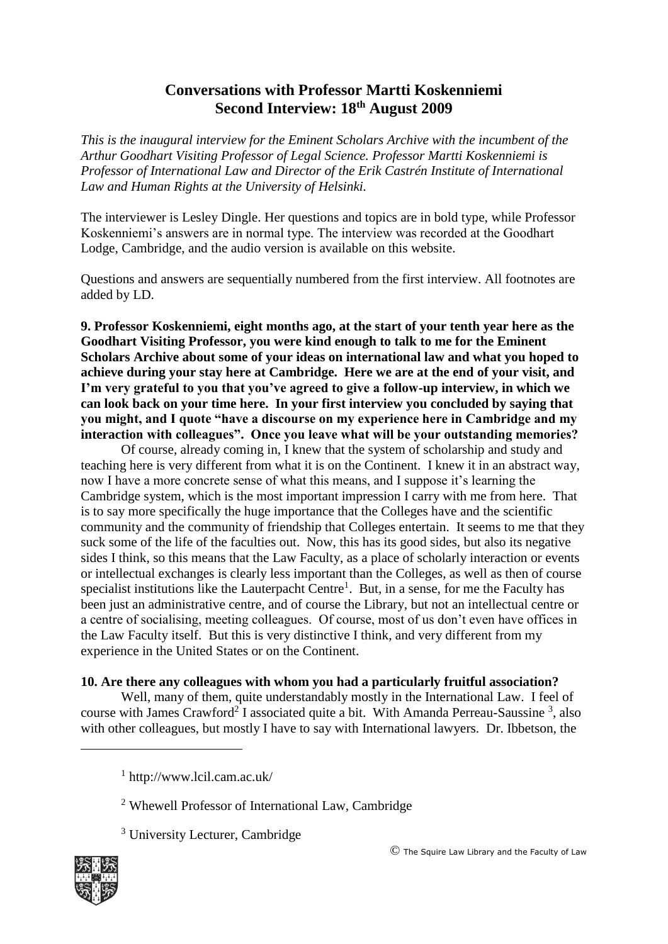# **Conversations with Professor Martti Koskenniemi Second Interview: 18th August 2009**

*This is the inaugural interview for the Eminent Scholars Archive with the incumbent of the Arthur Goodhart Visiting Professor of Legal Science. Professor Martti Koskenniemi is Professor of International Law and Director of the Erik Castrén Institute of International Law and Human Rights at the University of Helsinki.* 

The interviewer is Lesley Dingle. Her questions and topics are in bold type, while Professor Koskenniemi's answers are in normal type. The interview was recorded at the Goodhart Lodge, Cambridge, and the audio version is available on this website.

Questions and answers are sequentially numbered from the first interview. All footnotes are added by LD.

**9. Professor Koskenniemi, eight months ago, at the start of your tenth year here as the Goodhart Visiting Professor, you were kind enough to talk to me for the Eminent Scholars Archive about some of your ideas on international law and what you hoped to achieve during your stay here at Cambridge. Here we are at the end of your visit, and I'm very grateful to you that you've agreed to give a follow-up interview, in which we can look back on your time here. In your first interview you concluded by saying that you might, and I quote "have a discourse on my experience here in Cambridge and my interaction with colleagues". Once you leave what will be your outstanding memories?**

Of course, already coming in, I knew that the system of scholarship and study and teaching here is very different from what it is on the Continent. I knew it in an abstract way, now I have a more concrete sense of what this means, and I suppose it's learning the Cambridge system, which is the most important impression I carry with me from here. That is to say more specifically the huge importance that the Colleges have and the scientific community and the community of friendship that Colleges entertain. It seems to me that they suck some of the life of the faculties out. Now, this has its good sides, but also its negative sides I think, so this means that the Law Faculty, as a place of scholarly interaction or events or intellectual exchanges is clearly less important than the Colleges, as well as then of course specialist institutions like the Lauterpacht Centre<sup>1</sup>. But, in a sense, for me the Faculty has been just an administrative centre, and of course the Library, but not an intellectual centre or a centre of socialising, meeting colleagues. Of course, most of us don't even have offices in the Law Faculty itself. But this is very distinctive I think, and very different from my experience in the United States or on the Continent.

## **10. Are there any colleagues with whom you had a particularly fruitful association?**

Well, many of them, quite understandably mostly in the International Law. I feel of course with James Crawford<sup>2</sup> I associated quite a bit. With Amanda Perreau-Saussine<sup>3</sup>, also with other colleagues, but mostly I have to say with International lawyers. Dr. Ibbetson, the

<sup>3</sup> University Lecturer, Cambridge



1

<sup>1</sup> http://www.lcil.cam.ac.uk/

<sup>2</sup> Whewell Professor of International Law, Cambridge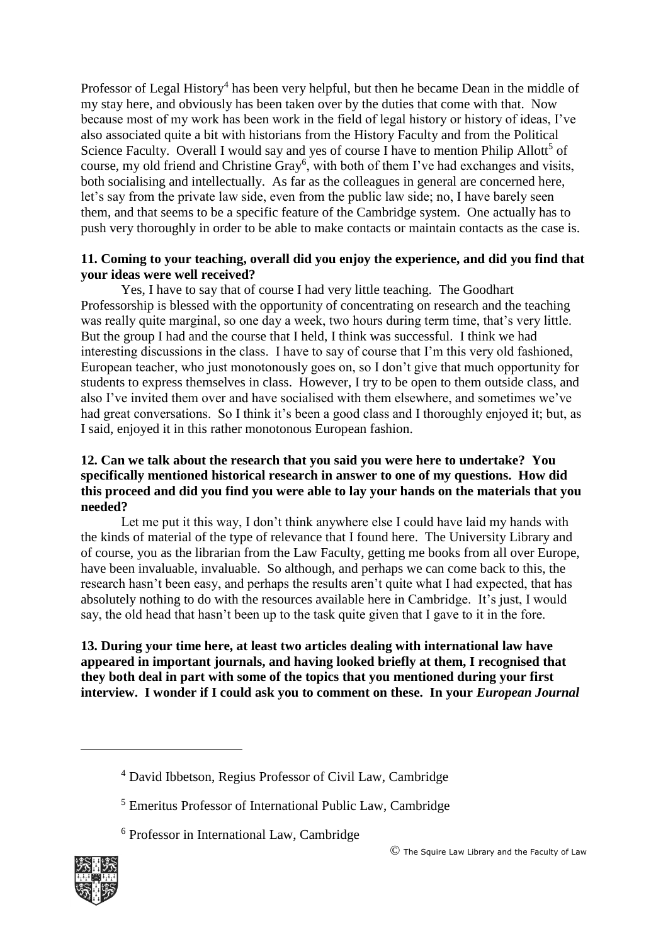Professor of Legal History<sup>4</sup> has been very helpful, but then he became Dean in the middle of my stay here, and obviously has been taken over by the duties that come with that. Now because most of my work has been work in the field of legal history or history of ideas, I've also associated quite a bit with historians from the History Faculty and from the Political Science Faculty. Overall I would say and yes of course I have to mention Philip Allott<sup>5</sup> of course, my old friend and Christine Gray<sup>6</sup>, with both of them I've had exchanges and visits, both socialising and intellectually. As far as the colleagues in general are concerned here, let's say from the private law side, even from the public law side; no, I have barely seen them, and that seems to be a specific feature of the Cambridge system. One actually has to push very thoroughly in order to be able to make contacts or maintain contacts as the case is.

#### **11. Coming to your teaching, overall did you enjoy the experience, and did you find that your ideas were well received?**

Yes, I have to say that of course I had very little teaching. The Goodhart Professorship is blessed with the opportunity of concentrating on research and the teaching was really quite marginal, so one day a week, two hours during term time, that's very little. But the group I had and the course that I held, I think was successful. I think we had interesting discussions in the class. I have to say of course that I'm this very old fashioned, European teacher, who just monotonously goes on, so I don't give that much opportunity for students to express themselves in class. However, I try to be open to them outside class, and also I've invited them over and have socialised with them elsewhere, and sometimes we've had great conversations. So I think it's been a good class and I thoroughly enjoyed it; but, as I said, enjoyed it in this rather monotonous European fashion.

### **12. Can we talk about the research that you said you were here to undertake? You specifically mentioned historical research in answer to one of my questions. How did this proceed and did you find you were able to lay your hands on the materials that you needed?**

Let me put it this way, I don't think anywhere else I could have laid my hands with the kinds of material of the type of relevance that I found here. The University Library and of course, you as the librarian from the Law Faculty, getting me books from all over Europe, have been invaluable, invaluable. So although, and perhaps we can come back to this, the research hasn't been easy, and perhaps the results aren't quite what I had expected, that has absolutely nothing to do with the resources available here in Cambridge. It's just, I would say, the old head that hasn't been up to the task quite given that I gave to it in the fore.

**13. During your time here, at least two articles dealing with international law have appeared in important journals, and having looked briefly at them, I recognised that they both deal in part with some of the topics that you mentioned during your first interview. I wonder if I could ask you to comment on these. In your** *European Journal* 



1

<sup>4</sup> David Ibbetson, Regius Professor of Civil Law, Cambridge

<sup>5</sup> Emeritus Professor of International Public Law, Cambridge

<sup>6</sup> Professor in International Law, Cambridge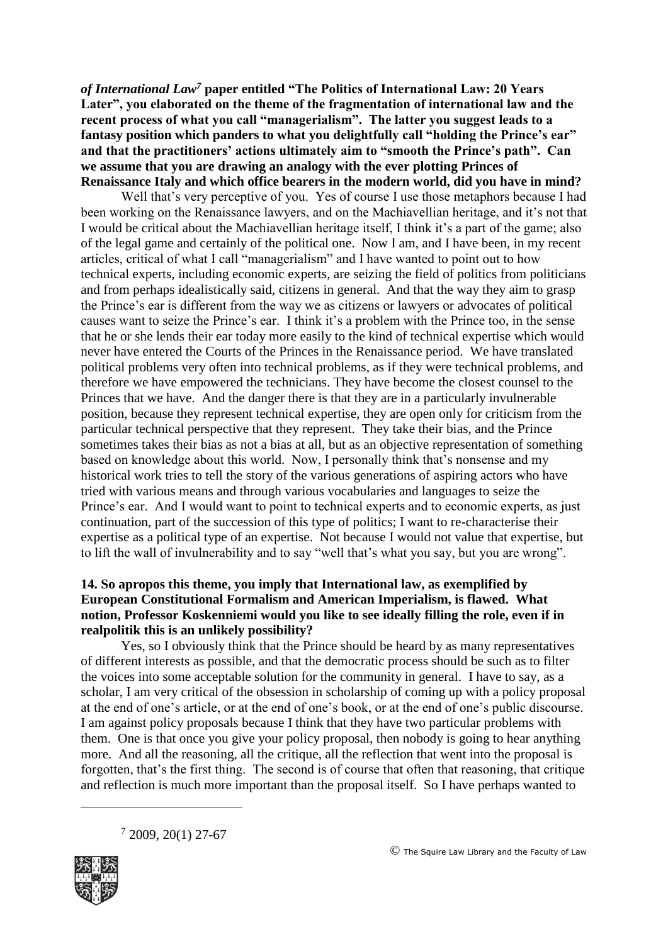*of International Law<sup>7</sup>* **paper entitled "The Politics of International Law: 20 Years Later", you elaborated on the theme of the fragmentation of international law and the recent process of what you call "managerialism". The latter you suggest leads to a fantasy position which panders to what you delightfully call "holding the Prince's ear" and that the practitioners' actions ultimately aim to "smooth the Prince's path". Can we assume that you are drawing an analogy with the ever plotting Princes of Renaissance Italy and which office bearers in the modern world, did you have in mind?**

Well that's very perceptive of you. Yes of course I use those metaphors because I had been working on the Renaissance lawyers, and on the Machiavellian heritage, and it's not that I would be critical about the Machiavellian heritage itself, I think it's a part of the game; also of the legal game and certainly of the political one. Now I am, and I have been, in my recent articles, critical of what I call "managerialism" and I have wanted to point out to how technical experts, including economic experts, are seizing the field of politics from politicians and from perhaps idealistically said, citizens in general. And that the way they aim to grasp the Prince's ear is different from the way we as citizens or lawyers or advocates of political causes want to seize the Prince's ear. I think it's a problem with the Prince too, in the sense that he or she lends their ear today more easily to the kind of technical expertise which would never have entered the Courts of the Princes in the Renaissance period. We have translated political problems very often into technical problems, as if they were technical problems, and therefore we have empowered the technicians. They have become the closest counsel to the Princes that we have. And the danger there is that they are in a particularly invulnerable position, because they represent technical expertise, they are open only for criticism from the particular technical perspective that they represent. They take their bias, and the Prince sometimes takes their bias as not a bias at all, but as an objective representation of something based on knowledge about this world. Now, I personally think that's nonsense and my historical work tries to tell the story of the various generations of aspiring actors who have tried with various means and through various vocabularies and languages to seize the Prince's ear. And I would want to point to technical experts and to economic experts, as just continuation, part of the succession of this type of politics; I want to re-characterise their expertise as a political type of an expertise. Not because I would not value that expertise, but to lift the wall of invulnerability and to say "well that's what you say, but you are wrong".

#### **14. So apropos this theme, you imply that International law, as exemplified by European Constitutional Formalism and American Imperialism, is flawed. What notion, Professor Koskenniemi would you like to see ideally filling the role, even if in realpolitik this is an unlikely possibility?**

Yes, so I obviously think that the Prince should be heard by as many representatives of different interests as possible, and that the democratic process should be such as to filter the voices into some acceptable solution for the community in general. I have to say, as a scholar, I am very critical of the obsession in scholarship of coming up with a policy proposal at the end of one's article, or at the end of one's book, or at the end of one's public discourse. I am against policy proposals because I think that they have two particular problems with them. One is that once you give your policy proposal, then nobody is going to hear anything more. And all the reasoning, all the critique, all the reflection that went into the proposal is forgotten, that's the first thing. The second is of course that often that reasoning, that critique and reflection is much more important than the proposal itself. So I have perhaps wanted to

 $72009, 20(1) 27-67$ 



<u>.</u>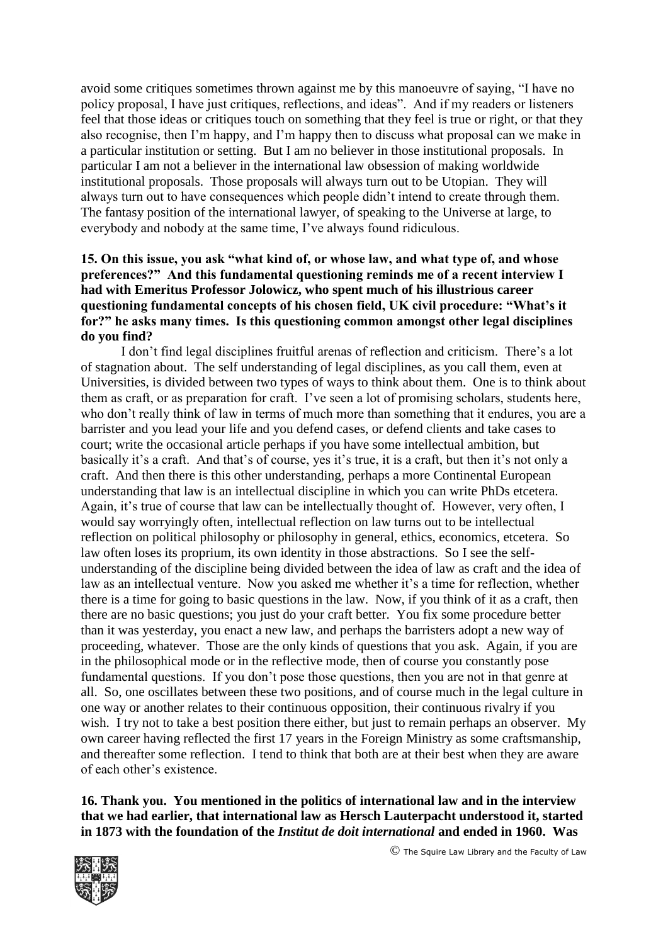avoid some critiques sometimes thrown against me by this manoeuvre of saying, "I have no policy proposal, I have just critiques, reflections, and ideas". And if my readers or listeners feel that those ideas or critiques touch on something that they feel is true or right, or that they also recognise, then I'm happy, and I'm happy then to discuss what proposal can we make in a particular institution or setting. But I am no believer in those institutional proposals. In particular I am not a believer in the international law obsession of making worldwide institutional proposals. Those proposals will always turn out to be Utopian. They will always turn out to have consequences which people didn't intend to create through them. The fantasy position of the international lawyer, of speaking to the Universe at large, to everybody and nobody at the same time, I've always found ridiculous.

## **15. On this issue, you ask "what kind of, or whose law, and what type of, and whose preferences?" And this fundamental questioning reminds me of a recent interview I had with Emeritus Professor Jolowicz, who spent much of his illustrious career questioning fundamental concepts of his chosen field, UK civil procedure: "What's it for?" he asks many times. Is this questioning common amongst other legal disciplines do you find?**

I don't find legal disciplines fruitful arenas of reflection and criticism. There's a lot of stagnation about. The self understanding of legal disciplines, as you call them, even at Universities, is divided between two types of ways to think about them. One is to think about them as craft, or as preparation for craft. I've seen a lot of promising scholars, students here, who don't really think of law in terms of much more than something that it endures, you are a barrister and you lead your life and you defend cases, or defend clients and take cases to court; write the occasional article perhaps if you have some intellectual ambition, but basically it's a craft. And that's of course, yes it's true, it is a craft, but then it's not only a craft. And then there is this other understanding, perhaps a more Continental European understanding that law is an intellectual discipline in which you can write PhDs etcetera. Again, it's true of course that law can be intellectually thought of. However, very often, I would say worryingly often, intellectual reflection on law turns out to be intellectual reflection on political philosophy or philosophy in general, ethics, economics, etcetera. So law often loses its proprium, its own identity in those abstractions. So I see the selfunderstanding of the discipline being divided between the idea of law as craft and the idea of law as an intellectual venture. Now you asked me whether it's a time for reflection, whether there is a time for going to basic questions in the law. Now, if you think of it as a craft, then there are no basic questions; you just do your craft better. You fix some procedure better than it was yesterday, you enact a new law, and perhaps the barristers adopt a new way of proceeding, whatever. Those are the only kinds of questions that you ask. Again, if you are in the philosophical mode or in the reflective mode, then of course you constantly pose fundamental questions. If you don't pose those questions, then you are not in that genre at all. So, one oscillates between these two positions, and of course much in the legal culture in one way or another relates to their continuous opposition, their continuous rivalry if you wish. I try not to take a best position there either, but just to remain perhaps an observer. My own career having reflected the first 17 years in the Foreign Ministry as some craftsmanship, and thereafter some reflection. I tend to think that both are at their best when they are aware of each other's existence.

**16. Thank you. You mentioned in the politics of international law and in the interview that we had earlier, that international law as Hersch Lauterpacht understood it, started in 1873 with the foundation of the** *Institut de doit international* **and ended in 1960. Was** 



© The Squire Law Library and the Faculty of Law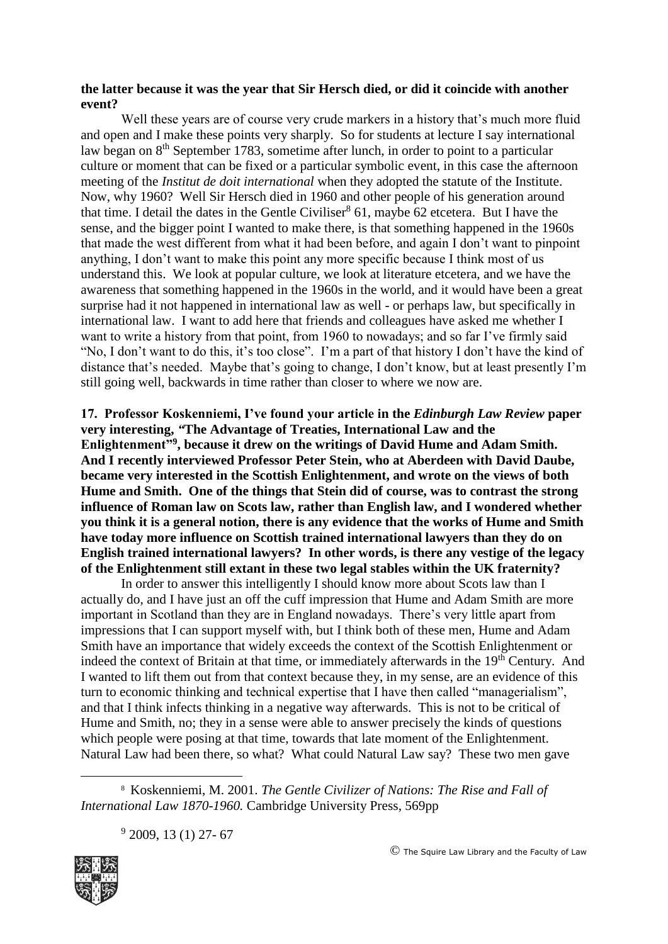#### **the latter because it was the year that Sir Hersch died, or did it coincide with another event?**

Well these years are of course very crude markers in a history that's much more fluid and open and I make these points very sharply. So for students at lecture I say international law began on 8<sup>th</sup> September 1783, sometime after lunch, in order to point to a particular culture or moment that can be fixed or a particular symbolic event, in this case the afternoon meeting of the *Institut de doit international* when they adopted the statute of the Institute. Now, why 1960? Well Sir Hersch died in 1960 and other people of his generation around that time. I detail the dates in the Gentle Civiliser<sup>8</sup> 61, maybe 62 etcetera. But I have the sense, and the bigger point I wanted to make there, is that something happened in the 1960s that made the west different from what it had been before, and again I don't want to pinpoint anything, I don't want to make this point any more specific because I think most of us understand this. We look at popular culture, we look at literature etcetera, and we have the awareness that something happened in the 1960s in the world, and it would have been a great surprise had it not happened in international law as well - or perhaps law, but specifically in international law. I want to add here that friends and colleagues have asked me whether I want to write a history from that point, from 1960 to nowadays; and so far I've firmly said "No, I don't want to do this, it's too close". I'm a part of that history I don't have the kind of distance that's needed. Maybe that's going to change, I don't know, but at least presently I'm still going well, backwards in time rather than closer to where we now are.

**17. Professor Koskenniemi, I've found your article in the** *Edinburgh Law Review* **paper very interesting,** *"***The Advantage of Treaties, International Law and the Enlightenment"<sup>9</sup> , because it drew on the writings of David Hume and Adam Smith. And I recently interviewed Professor Peter Stein, who at Aberdeen with David Daube, became very interested in the Scottish Enlightenment, and wrote on the views of both Hume and Smith. One of the things that Stein did of course, was to contrast the strong influence of Roman law on Scots law, rather than English law, and I wondered whether you think it is a general notion, there is any evidence that the works of Hume and Smith have today more influence on Scottish trained international lawyers than they do on English trained international lawyers? In other words, is there any vestige of the legacy of the Enlightenment still extant in these two legal stables within the UK fraternity?**

In order to answer this intelligently I should know more about Scots law than I actually do, and I have just an off the cuff impression that Hume and Adam Smith are more important in Scotland than they are in England nowadays. There's very little apart from impressions that I can support myself with, but I think both of these men, Hume and Adam Smith have an importance that widely exceeds the context of the Scottish Enlightenment or indeed the context of Britain at that time, or immediately afterwards in the 19<sup>th</sup> Century. And I wanted to lift them out from that context because they, in my sense, are an evidence of this turn to economic thinking and technical expertise that I have then called "managerialism", and that I think infects thinking in a negative way afterwards. This is not to be critical of Hume and Smith, no; they in a sense were able to answer precisely the kinds of questions which people were posing at that time, towards that late moment of the Enlightenment. Natural Law had been there, so what? What could Natural Law say? These two men gave

8 Koskenniemi, M. 2001. *The Gentle Civilizer of Nations: The Rise and Fall of International Law 1870-1960.* Cambridge University Press, 569pp

<sup>9</sup> 2009, 13 (1) 27-67



1